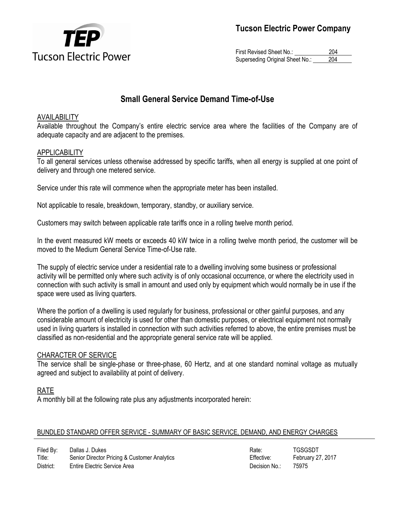

First Revised Sheet No.: 204 Superseding Original Sheet No.: 204

### **Small General Service Demand Time-of-Use**

### AVAILABILITY

Available throughout the Company's entire electric service area where the facilities of the Company are of adequate capacity and are adjacent to the premises.

### **APPLICABILITY**

To all general services unless otherwise addressed by specific tariffs, when all energy is supplied at one point of delivery and through one metered service.

Service under this rate will commence when the appropriate meter has been installed.

Not applicable to resale, breakdown, temporary, standby, or auxiliary service.

Customers may switch between applicable rate tariffs once in a rolling twelve month period.

In the event measured kW meets or exceeds 40 kW twice in a rolling twelve month period, the customer will be moved to the Medium General Service Time-of-Use rate.

The supply of electric service under a residential rate to a dwelling involving some business or professional activity will be permitted only where such activity is of only occasional occurrence, or where the electricity used in connection with such activity is small in amount and used only by equipment which would normally be in use if the space were used as living quarters.

Where the portion of a dwelling is used regularly for business, professional or other gainful purposes, and any considerable amount of electricity is used for other than domestic purposes, or electrical equipment not normally used in living quarters is installed in connection with such activities referred to above, the entire premises must be classified as non-residential and the appropriate general service rate will be applied.

### CHARACTER OF SERVICE

The service shall be single-phase or three-phase, 60 Hertz, and at one standard nominal voltage as mutually agreed and subject to availability at point of delivery.

### RATE

A monthly bill at the following rate plus any adjustments incorporated herein:

### BUNDLED STANDARD OFFER SERVICE - SUMMARY OF BASIC SERVICE, DEMAND, AND ENERGY CHARGES

| Filed By: | Dallas J. Dukes                              | Rate:         | <b>TGSGSDT</b>    |
|-----------|----------------------------------------------|---------------|-------------------|
| Title:    | Senior Director Pricing & Customer Analytics | Effective:    | February 27, 2017 |
| District: | Entire Electric Service Area                 | Decision No.: | 75975             |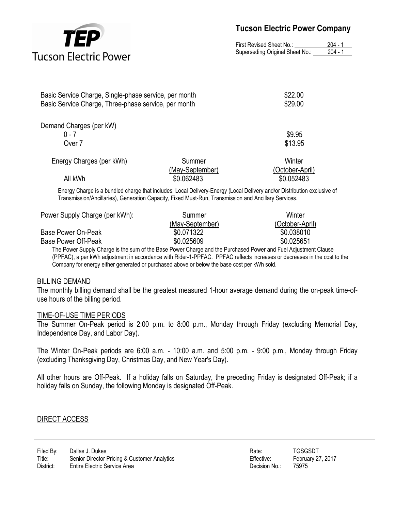

First Revised Sheet No.: 204 - 1 Superseding Original Sheet No.: 204 - 1

| Basic Service Charge, Single-phase service, per month<br>Basic Service Charge, Three-phase service, per month |                 | \$22.00<br>\$29.00 |  |
|---------------------------------------------------------------------------------------------------------------|-----------------|--------------------|--|
|                                                                                                               |                 |                    |  |
| Demand Charges (per kW)                                                                                       |                 |                    |  |
| $0 - 7$                                                                                                       |                 | \$9.95             |  |
| Over 7                                                                                                        |                 | \$13.95            |  |
| Energy Charges (per kWh)                                                                                      | Summer          | Winter             |  |
|                                                                                                               | (May-September) | (October-April)    |  |
| All kWh                                                                                                       | \$0.062483      | \$0.052483         |  |

Energy Charge is a bundled charge that includes: Local Delivery-Energy (Local Delivery and/or Distribution exclusive of Transmission/Ancillaries), Generation Capacity, Fixed Must-Run, Transmission and Ancillary Services.

| Power Supply Charge (per kWh):                                                                                  | Summer          | Winter          |
|-----------------------------------------------------------------------------------------------------------------|-----------------|-----------------|
|                                                                                                                 | (May-September) | (October-April) |
| Base Power On-Peak                                                                                              | \$0.071322      | \$0.038010      |
| Base Power Off-Peak                                                                                             | \$0.025609      | \$0.025651      |
| THE RELEASED AND STATES IN A RELEASED AND STATES AND A RELEASED AND LODGED AND LODGED AND LODGED AND LODGED AND |                 |                 |

The Power Supply Charge is the sum of the Base Power Charge and the Purchased Power and Fuel Adjustment Clause (PPFAC), a per kWh adjustment in accordance with Rider-1-PPFAC. PPFAC reflects increases or decreases in the cost to the Company for energy either generated or purchased above or below the base cost per kWh sold.

### BILLING DEMAND

The monthly billing demand shall be the greatest measured 1-hour average demand during the on-peak time-ofuse hours of the billing period.

#### TIME-OF-USE TIME PERIODS

The Summer On-Peak period is 2:00 p.m. to 8:00 p.m., Monday through Friday (excluding Memorial Day, Independence Day, and Labor Day).

The Winter On-Peak periods are 6:00 a.m. - 10:00 a.m. and 5:00 p.m. - 9:00 p.m., Monday through Friday (excluding Thanksgiving Day, Christmas Day, and New Year's Day).

All other hours are Off-Peak. If a holiday falls on Saturday, the preceding Friday is designated Off-Peak; if a holiday falls on Sunday, the following Monday is designated Off-Peak.

### DIRECT ACCESS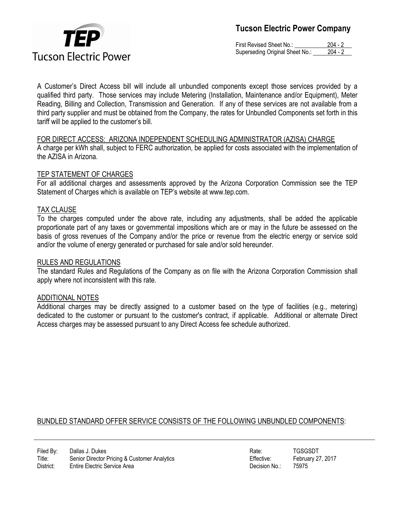

First Revised Sheet No.: 204 - 2 Superseding Original Sheet No.: 204 - 2

A Customer's Direct Access bill will include all unbundled components except those services provided by a qualified third party. Those services may include Metering (Installation, Maintenance and/or Equipment), Meter Reading, Billing and Collection, Transmission and Generation. If any of these services are not available from a third party supplier and must be obtained from the Company, the rates for Unbundled Components set forth in this tariff will be applied to the customer's bill.

FOR DIRECT ACCESS: ARIZONA INDEPENDENT SCHEDULING ADMINISTRATOR (AZISA) CHARGE A charge per kWh shall, subject to FERC authorization, be applied for costs associated with the implementation of the AZISA in Arizona.

### TEP STATEMENT OF CHARGES

For all additional charges and assessments approved by the Arizona Corporation Commission see the TEP Statement of Charges which is available on TEP's website at www.tep.com.

### TAX CLAUSE

To the charges computed under the above rate, including any adjustments, shall be added the applicable proportionate part of any taxes or governmental impositions which are or may in the future be assessed on the basis of gross revenues of the Company and/or the price or revenue from the electric energy or service sold and/or the volume of energy generated or purchased for sale and/or sold hereunder.

### RULES AND REGULATIONS

The standard Rules and Regulations of the Company as on file with the Arizona Corporation Commission shall apply where not inconsistent with this rate.

### ADDITIONAL NOTES

Additional charges may be directly assigned to a customer based on the type of facilities (e.g., metering) dedicated to the customer or pursuant to the customer's contract, if applicable. Additional or alternate Direct Access charges may be assessed pursuant to any Direct Access fee schedule authorized.

### BUNDLED STANDARD OFFER SERVICE CONSISTS OF THE FOLLOWING UNBUNDLED COMPONENTS:

| Rate:         | <b>TGSGSDT</b> |
|---------------|----------------|
| Effective:    | February 27    |
| Decision No.: | 75975          |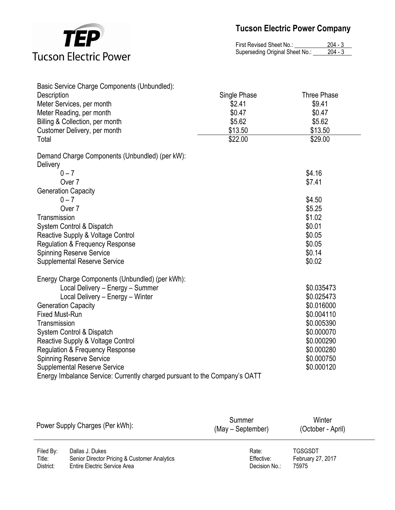

| First Revised Sheet No.:        | $204 - 3$ |
|---------------------------------|-----------|
| Superseding Original Sheet No.: | $204 - 3$ |

| Basic Service Charge Components (Unbundled):                               |              |                    |
|----------------------------------------------------------------------------|--------------|--------------------|
| Description                                                                | Single Phase | <b>Three Phase</b> |
| Meter Services, per month                                                  | \$2.41       | \$9.41             |
| Meter Reading, per month                                                   | \$0.47       | \$0.47             |
| Billing & Collection, per month                                            | \$5.62       | \$5.62             |
| Customer Delivery, per month                                               | \$13.50      | \$13.50            |
| Total                                                                      | \$22.00      | \$29.00            |
| Demand Charge Components (Unbundled) (per kW):                             |              |                    |
| <b>Delivery</b>                                                            |              |                    |
| $0 - 7$                                                                    |              | \$4.16             |
| Over 7                                                                     |              | \$7.41             |
| <b>Generation Capacity</b>                                                 |              |                    |
| $0 - 7$                                                                    |              | \$4.50             |
| Over 7                                                                     |              | \$5.25             |
| Transmission                                                               |              | \$1.02             |
| System Control & Dispatch                                                  |              | \$0.01             |
| Reactive Supply & Voltage Control                                          |              | \$0.05             |
| <b>Regulation &amp; Frequency Response</b>                                 |              | \$0.05             |
| <b>Spinning Reserve Service</b>                                            |              | \$0.14             |
| <b>Supplemental Reserve Service</b>                                        |              | \$0.02             |
| Energy Charge Components (Unbundled) (per kWh):                            |              |                    |
| Local Delivery - Energy - Summer                                           |              | \$0.035473         |
| Local Delivery - Energy - Winter                                           |              | \$0.025473         |
| <b>Generation Capacity</b>                                                 |              | \$0.016000         |
| <b>Fixed Must-Run</b>                                                      |              | \$0.004110         |
| Transmission                                                               |              | \$0.005390         |
| System Control & Dispatch                                                  |              | \$0.000070         |
| Reactive Supply & Voltage Control                                          |              | \$0.000290         |
| <b>Regulation &amp; Frequency Response</b>                                 |              | \$0.000280         |
| <b>Spinning Reserve Service</b>                                            |              | \$0.000750         |
| <b>Supplemental Reserve Service</b>                                        |              | \$0.000120         |
| Energy Imbalance Service: Currently charged pursuant to the Company's OATT |              |                    |

|           | Power Supply Charges (Per kWh):              | Summer<br>(May – September) | Winter<br>(October - April) |
|-----------|----------------------------------------------|-----------------------------|-----------------------------|
| Filed By: | Dallas J. Dukes                              | Rate:                       | <b>TGSGSDT</b>              |
| Title:    | Senior Director Pricing & Customer Analytics | Effective:                  | February 27, 2017           |
| District: | Entire Electric Service Area                 | Decision No.:               | 75975                       |